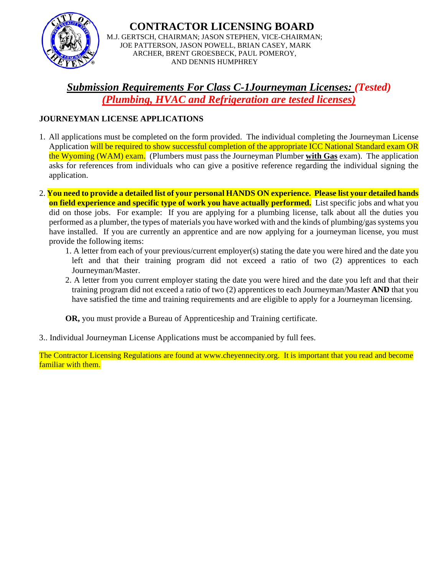

**CONTRACTOR LICENSING BOARD** M.J. GERTSCH, CHAIRMAN; JASON STEPHEN, VICE-CHAIRMAN; JOE PATTERSON, JASON POWELL, BRIAN CASEY, MARK ARCHER, BRENT GROESBECK, PAUL POMEROY, AND DENNIS HUMPHREY

*Submission Requirements For Class C-1Journeyman Licenses: (Tested) (Plumbing, HVAC and Refrigeration are tested licenses)*

#### **JOURNEYMAN LICENSE APPLICATIONS**

- 1. All applications must be completed on the form provided. The individual completing the Journeyman License Application will be required to show successful completion of the appropriate ICC National Standard exam OR the Wyoming (WAM) exam. (Plumbers must pass the Journeyman Plumber **with Gas** exam). The application asks for references from individuals who can give a positive reference regarding the individual signing the application.
- 2. **You need to provide a detailed list of your personal HANDS ON experience. Please list your detailed hands on field experience and specific type of work you have actually performed.** List specific jobs and what you did on those jobs. For example: If you are applying for a plumbing license, talk about all the duties you performed as a plumber, the types of materials you have worked with and the kinds of plumbing/gas systems you have installed. If you are currently an apprentice and are now applying for a journeyman license, you must provide the following items:
	- 1. A letter from each of your previous/current employer(s) stating the date you were hired and the date you left and that their training program did not exceed a ratio of two (2) apprentices to each Journeyman/Master.
	- 2. A letter from you current employer stating the date you were hired and the date you left and that their training program did not exceed a ratio of two (2) apprentices to each Journeyman/Master **AND** that you have satisfied the time and training requirements and are eligible to apply for a Journeyman licensing.

**OR,** you must provide a Bureau of Apprenticeship and Training certificate.

3.. Individual Journeyman License Applications must be accompanied by full fees.

The Contractor Licensing Regulations are found at www.cheyennecity.org. It is important that you read and become familiar with them.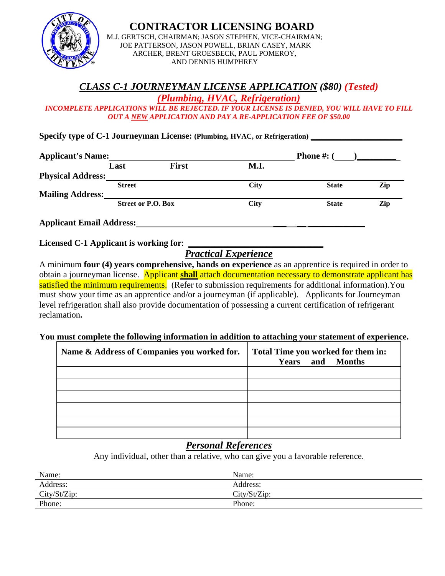

#### **CONTRACTOR LICENSING BOARD**

M.J. GERTSCH, CHAIRMAN; JASON STEPHEN, VICE-CHAIRMAN; JOE PATTERSON, JASON POWELL, BRIAN CASEY, MARK ARCHER, BRENT GROESBECK, PAUL POMEROY, AND DENNIS HUMPHREY

# *CLASS C-1 JOURNEYMAN LICENSE APPLICATION (\$80) (Tested)*

*(Plumbing, HVAC, Refrigeration)*

*INCOMPLETE APPLICATIONS WILL BE REJECTED. IF YOUR LICENSE IS DENIED, YOU WILL HAVE TO FILL OUT A NEW APPLICATION AND PAY A RE-APPLICATION FEE OF \$50.00*

Specify type of C-1 Journeyman License: (Plumbing, HVAC, or Refrigeration)

| <b>Applicant's Name:</b> |                           |              |      | <b>Phone #:</b> $($ |     |
|--------------------------|---------------------------|--------------|------|---------------------|-----|
|                          | Last                      | <b>First</b> | M.I. |                     |     |
| <b>Physical Address:</b> |                           |              |      |                     |     |
|                          | <b>Street</b>             |              | City | <b>State</b>        | Zip |
| <b>Mailing Address:</b>  |                           |              |      |                     |     |
|                          | <b>Street or P.O. Box</b> |              | City | <b>State</b>        | Zip |
|                          |                           |              |      |                     |     |

**Applicant Email Address: \_\_\_ \_\_ \_\_\_\_\_\_\_\_\_\_\_\_\_**

**Licensed C-1 Applicant is working for**: **\_\_\_\_\_\_\_\_\_\_\_\_\_\_\_\_\_\_\_\_\_\_\_\_\_\_\_\_\_\_\_**

# *Practical Experience*

A minimum **four (4) years comprehensive, hands on experience** as an apprentice is required in order to obtain a journeyman license. Applicant **shall** attach documentation necessary to demonstrate applicant has satisfied the minimum requirements. (Refer to submission requirements for additional information). You must show your time as an apprentice and/or a journeyman (if applicable). Applicants for Journeyman level refrigeration shall also provide documentation of possessing a current certification of refrigerant reclamation**.**

#### **You must complete the following information in addition to attaching your statement of experience.**

| Name & Address of Companies you worked for. | Total Time you worked for them in:<br><b>Years</b> and Months |  |  |
|---------------------------------------------|---------------------------------------------------------------|--|--|
|                                             |                                                               |  |  |
|                                             |                                                               |  |  |
|                                             |                                                               |  |  |
|                                             |                                                               |  |  |
|                                             |                                                               |  |  |
|                                             |                                                               |  |  |

## *Personal References*

Any individual, other than a relative, who can give you a favorable reference.

| Name:        | Name:        |
|--------------|--------------|
| Address:     | Address:     |
| City/St/Zip: | City/St/Zip: |
| Phone:       | Phone:       |